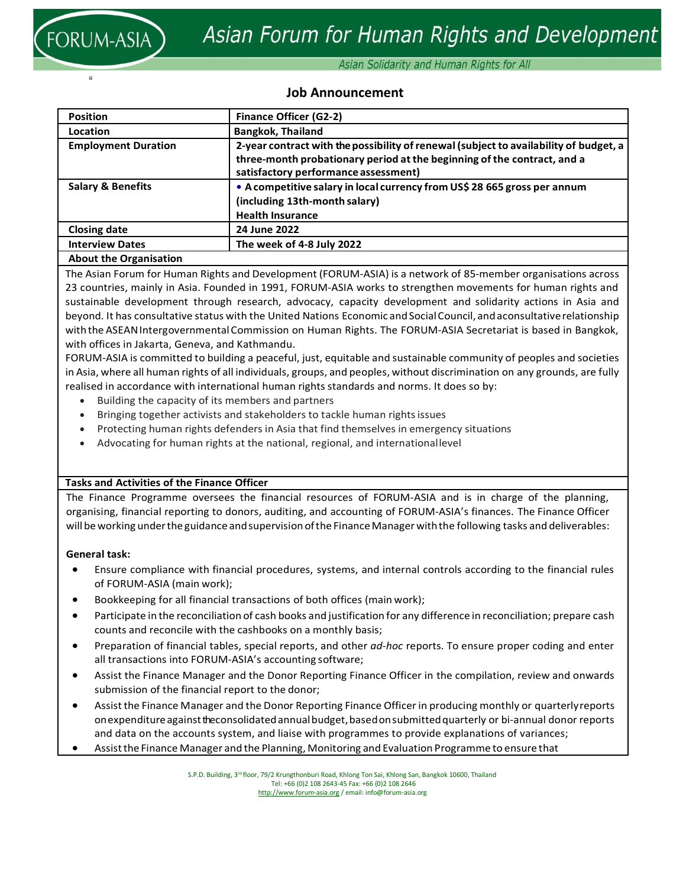

ผ

## Asian Solidarity and Human Rights for All

## **Job Announcement**

| <b>Position</b>               | <b>Finance Officer (G2-2)</b>                                                                                                                                                                            |
|-------------------------------|----------------------------------------------------------------------------------------------------------------------------------------------------------------------------------------------------------|
| Location                      | <b>Bangkok, Thailand</b>                                                                                                                                                                                 |
| <b>Employment Duration</b>    | 2-year contract with the possibility of renewal (subject to availability of budget, a<br>three-month probationary period at the beginning of the contract, and a<br>satisfactory performance assessment) |
| <b>Salary &amp; Benefits</b>  | • A competitive salary in local currency from US\$ 28 665 gross per annum<br>(including 13th-month salary)<br><b>Health Insurance</b>                                                                    |
| <b>Closing date</b>           | 24 June 2022                                                                                                                                                                                             |
| <b>Interview Dates</b>        | The week of 4-8 July 2022                                                                                                                                                                                |
| <b>About the Organisation</b> |                                                                                                                                                                                                          |

The Asian Forum for Human Rights and Development (FORUM‐ASIA) is a network of 85-member organisations across 23 countries, mainly in Asia. Founded in 1991, FORUM‐ASIA works to strengthen movements for human rights and sustainable development through research, advocacy, capacity development and solidarity actions in Asia and beyond. It has consultative status with the United Nations Economic and Social Council, and aconsultative relationship with the ASEAN Intergovernmental Commission on Human Rights. The FORUM-ASIA Secretariat is based in Bangkok, with offices in Jakarta, Geneva, and Kathmandu.

FORUM‐ASIA is committed to building a peaceful, just, equitable and sustainable community of peoples and societies in Asia, where all human rights of all individuals, groups, and peoples, without discrimination on any grounds, are fully realised in accordance with international human rights standards and norms. It does so by:

- Building the capacity of its members and partners
- Bringing together activists and stakeholders to tackle human rights issues
- Protecting human rights defenders in Asia that find themselves in emergency situations
- Advocating for human rights at the national, regional, and internationallevel

## **Tasks and Activities of the Finance Officer**

The Finance Programme oversees the financial resources of FORUM‐ASIA and is in charge of the planning, organising, financial reporting to donors, auditing, and accounting of FORUM‐ASIA's finances. The Finance Officer will be working under the guidance and supervision of the Finance Manager with the following tasks and deliverables:

## **General task:**

- Ensure compliance with financial procedures, systems, and internal controls according to the financial rules of FORUM‐ASIA (main work);
- Bookkeeping for all financial transactions of both offices (main work);
- Participate in the reconciliation of cash books and justification for any difference in reconciliation; prepare cash counts and reconcile with the cashbooks on a monthly basis;
- Preparation of financial tables, special reports, and other *ad‐hoc* reports. To ensure proper coding and enter all transactions into FORUM‐ASIA's accounting software;
- Assist the Finance Manager and the Donor Reporting Finance Officer in the compilation, review and onwards submission of the financial report to the donor;
- Assist the Finance Manager and the Donor Reporting Finance Officer in producing monthly or quarterlyreports on expenditure against the consolidated annual budget, based on submitted quarterly or bi-annual donor reports and data on the accounts system, and liaise with programmes to provide explanations of variances;
- Assistthe Finance Manager and the Planning, Monitoring and Evaluation Programme to ensure that